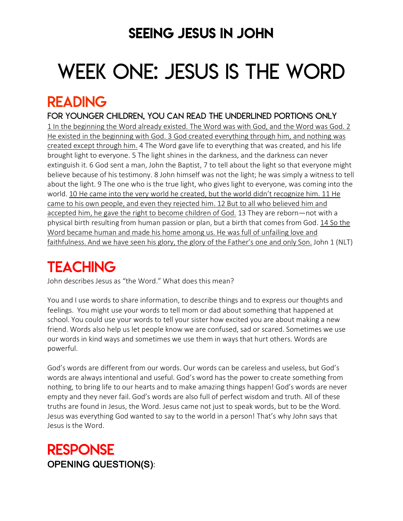### SEEING JESUS IN JOHN

# WEEK ONE: JESUS IS THE WORD

### READING

FOR younger children, YOU can READ THE UNDERLINED PORTIONS ONLY 1 In the beginning the Word already existed. The Word was with God, and the Word was God. 2 He existed in the beginning with God. 3 God created everything through him, and nothing was created except through him. 4 The Word gave life to everything that was created, and his life brought light to everyone. 5 The light shines in the darkness, and the darkness can never extinguish it. 6 God sent a man, John the Baptist, 7 to tell about the light so that everyone might believe because of his testimony. 8 John himself was not the light; he was simply a witness to tell about the light. 9 The one who is the true light, who gives light to everyone, was coming into the world. 10 He came into the very world he created, but the world didn't recognize him. 11 He came to his own people, and even they rejected him. 12 But to all who believed him and accepted him, he gave the right to become children of God. 13 They are reborn—not with a physical birth resulting from human passion or plan, but a birth that comes from God. 14 So the Word became human and made his home among us. He was full of unfailing love and faithfulness. And we have seen his glory, the glory of the Father's one and only Son. John 1 (NLT)

# **TEACHING**

John describes Jesus as "the Word." What does this mean?

You and I use words to share information, to describe things and to express our thoughts and feelings. You might use your words to tell mom or dad about something that happened at school. You could use your words to tell your sister how excited you are about making a new friend. Words also help us let people know we are confused, sad or scared. Sometimes we use our words in kind ways and sometimes we use them in ways that hurt others. Words are powerful.

God's words are different from our words. Our words can be careless and useless, but God's words are always intentional and useful. God's word has the power to create something from nothing, to bring life to our hearts and to make amazing things happen! God's words are never empty and they never fail. God's words are also full of perfect wisdom and truth. All of these truths are found in Jesus, the Word. Jesus came not just to speak words, but to be the Word. Jesus was everything God wanted to say to the world in a person! That's why John says that Jesus is the Word.

### RESPONSE OPENING QUESTION(S):